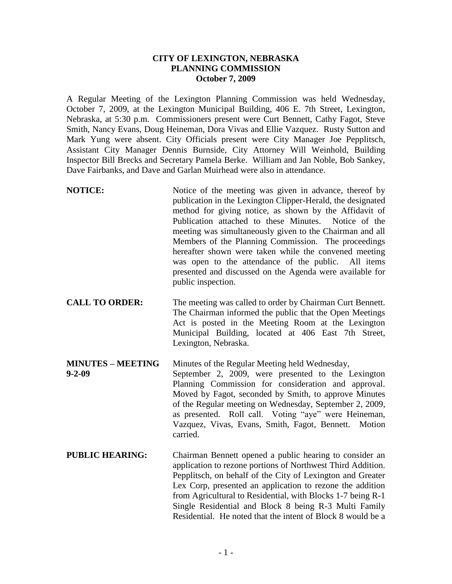## **CITY OF LEXINGTON, NEBRASKA PLANNING COMMISSION October 7, 2009**

A Regular Meeting of the Lexington Planning Commission was held Wednesday, October 7, 2009, at the Lexington Municipal Building, 406 E. 7th Street, Lexington, Nebraska, at 5:30 p.m. Commissioners present were Curt Bennett, Cathy Fagot, Steve Smith, Nancy Evans, Doug Heineman, Dora Vivas and Ellie Vazquez. Rusty Sutton and Mark Yung were absent. City Officials present were City Manager Joe Pepplitsch, Assistant City Manager Dennis Burnside, City Attorney Will Weinhold, Building Inspector Bill Brecks and Secretary Pamela Berke. William and Jan Noble, Bob Sankey, Dave Fairbanks, and Dave and Garlan Muirhead were also in attendance.

- **NOTICE:** Notice of the meeting was given in advance, thereof by publication in the Lexington Clipper-Herald, the designated method for giving notice, as shown by the Affidavit of Publication attached to these Minutes. Notice of the meeting was simultaneously given to the Chairman and all Members of the Planning Commission. The proceedings hereafter shown were taken while the convened meeting was open to the attendance of the public. All items presented and discussed on the Agenda were available for public inspection.
- **CALL TO ORDER:** The meeting was called to order by Chairman Curt Bennett. The Chairman informed the public that the Open Meetings Act is posted in the Meeting Room at the Lexington Municipal Building, located at 406 East 7th Street, Lexington, Nebraska.
- **MINUTES – MEETING** Minutes of the Regular Meeting held Wednesday, **9-2-09** September 2, 2009, were presented to the Lexington Planning Commission for consideration and approval. Moved by Fagot, seconded by Smith, to approve Minutes of the Regular meeting on Wednesday, September 2, 2009, as presented. Roll call. Voting "aye" were Heineman, Vazquez, Vivas, Evans, Smith, Fagot, Bennett. Motion carried.
- **PUBLIC HEARING:** Chairman Bennett opened a public hearing to consider an application to rezone portions of Northwest Third Addition. Pepplitsch, on behalf of the City of Lexington and Greater Lex Corp, presented an application to rezone the addition from Agricultural to Residential, with Blocks 1-7 being R-1 Single Residential and Block 8 being R-3 Multi Family Residential. He noted that the intent of Block 8 would be a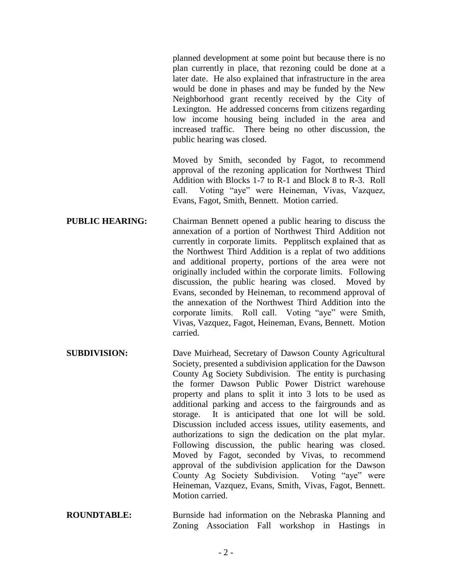planned development at some point but because there is no plan currently in place, that rezoning could be done at a later date. He also explained that infrastructure in the area would be done in phases and may be funded by the New Neighborhood grant recently received by the City of Lexington. He addressed concerns from citizens regarding low income housing being included in the area and increased traffic. There being no other discussion, the public hearing was closed.

Moved by Smith, seconded by Fagot, to recommend approval of the rezoning application for Northwest Third Addition with Blocks 1-7 to R-1 and Block 8 to R-3. Roll call. Voting "aye" were Heineman, Vivas, Vazquez, Evans, Fagot, Smith, Bennett. Motion carried.

**PUBLIC HEARING:** Chairman Bennett opened a public hearing to discuss the annexation of a portion of Northwest Third Addition not currently in corporate limits. Pepplitsch explained that as the Northwest Third Addition is a replat of two additions and additional property, portions of the area were not originally included within the corporate limits. Following discussion, the public hearing was closed. Moved by Evans, seconded by Heineman, to recommend approval of the annexation of the Northwest Third Addition into the corporate limits. Roll call. Voting "aye" were Smith, Vivas, Vazquez, Fagot, Heineman, Evans, Bennett. Motion carried.

- **SUBDIVISION:** Dave Muirhead, Secretary of Dawson County Agricultural Society, presented a subdivision application for the Dawson County Ag Society Subdivision. The entity is purchasing the former Dawson Public Power District warehouse property and plans to split it into 3 lots to be used as additional parking and access to the fairgrounds and as storage. It is anticipated that one lot will be sold. Discussion included access issues, utility easements, and authorizations to sign the dedication on the plat mylar. Following discussion, the public hearing was closed. Moved by Fagot, seconded by Vivas, to recommend approval of the subdivision application for the Dawson County Ag Society Subdivision. Voting "aye" were Heineman, Vazquez, Evans, Smith, Vivas, Fagot, Bennett. Motion carried.
- **ROUNDTABLE:** Burnside had information on the Nebraska Planning and Zoning Association Fall workshop in Hastings in